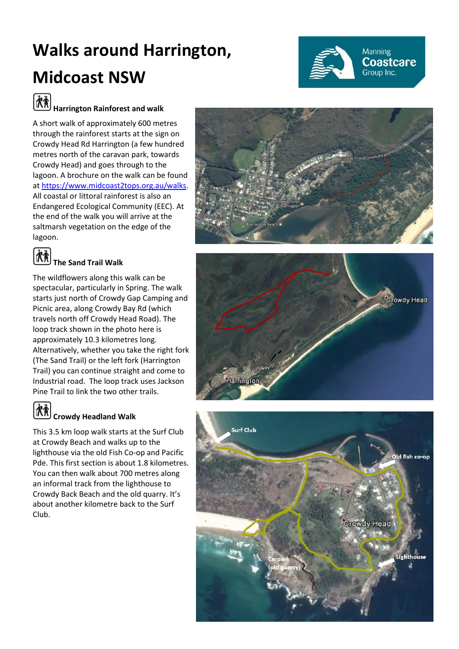# **Walks around Harrington, Midcoast NSW**



# **Harrington Rainforest and walk**

A short walk of approximately 600 metres through the rainforest starts at the sign on Crowdy Head Rd Harrington (a few hundred metres north of the caravan park, towards Crowdy Head) and goes through to the lagoon. A brochure on the walk can be found at [https://www.midcoast2tops.org.au/walks.](https://www.midcoast2tops.org.au/walks) All coastal or littoral rainforest is also an Endangered Ecological Community (EEC). At the end of the walk you will arrive at the saltmarsh vegetation on the edge of the lagoon.



### **The Sand Trail Walk**

The wildflowers along this walk can be spectacular, particularly in Spring. The walk starts just north of Crowdy Gap Camping and Picnic area, along Crowdy Bay Rd (which travels north off Crowdy Head Road). The loop track shown in the photo here is approximately 10.3 kilometres long. Alternatively, whether you take the right fork (The Sand Trail) or the left fork (Harrington Trail) you can continue straight and come to Industrial road. The loop track uses Jackson Pine Trail to link the two other trails.



# **Crowdy Headland Walk**

This 3.5 km loop walk starts at the Surf Club at Crowdy Beach and walks up to the lighthouse via the old Fish Co-op and Pacific Pde. This first section is about 1.8 kilometres. You can then walk about 700 metres along an informal track from the lighthouse to Crowdy Back Beach and the old quarry. It's about another kilometre back to the Surf Club.